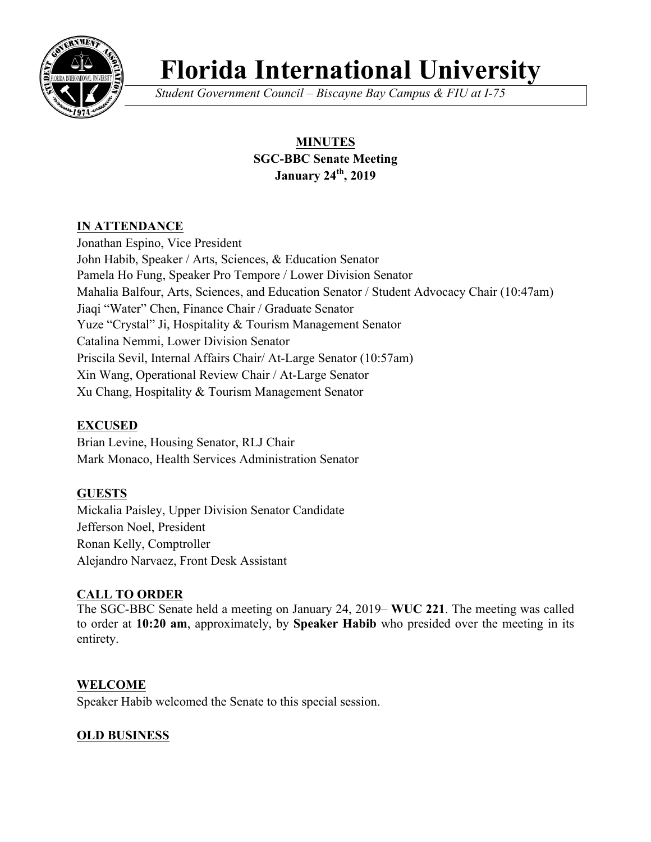

# **Florida International University**

*Student Government Council – Biscayne Bay Campus & FIU at I-75*

# **MINUTES SGC-BBC Senate Meeting January 24th, 2019**

## **IN ATTENDANCE**

Jonathan Espino, Vice President John Habib, Speaker / Arts, Sciences, & Education Senator Pamela Ho Fung, Speaker Pro Tempore / Lower Division Senator Mahalia Balfour, Arts, Sciences, and Education Senator / Student Advocacy Chair (10:47am) Jiaqi "Water" Chen, Finance Chair / Graduate Senator Yuze "Crystal" Ji, Hospitality & Tourism Management Senator Catalina Nemmi, Lower Division Senator Priscila Sevil, Internal Affairs Chair/ At-Large Senator (10:57am) Xin Wang, Operational Review Chair / At-Large Senator Xu Chang, Hospitality & Tourism Management Senator

# **EXCUSED**

Brian Levine, Housing Senator, RLJ Chair Mark Monaco, Health Services Administration Senator

# **GUESTS**

Mickalia Paisley, Upper Division Senator Candidate Jefferson Noel, President Ronan Kelly, Comptroller Alejandro Narvaez, Front Desk Assistant

# **CALL TO ORDER**

The SGC-BBC Senate held a meeting on January 24, 2019– **WUC 221**. The meeting was called to order at **10:20 am**, approximately, by **Speaker Habib** who presided over the meeting in its entirety.

## **WELCOME**

Speaker Habib welcomed the Senate to this special session.

# **OLD BUSINESS**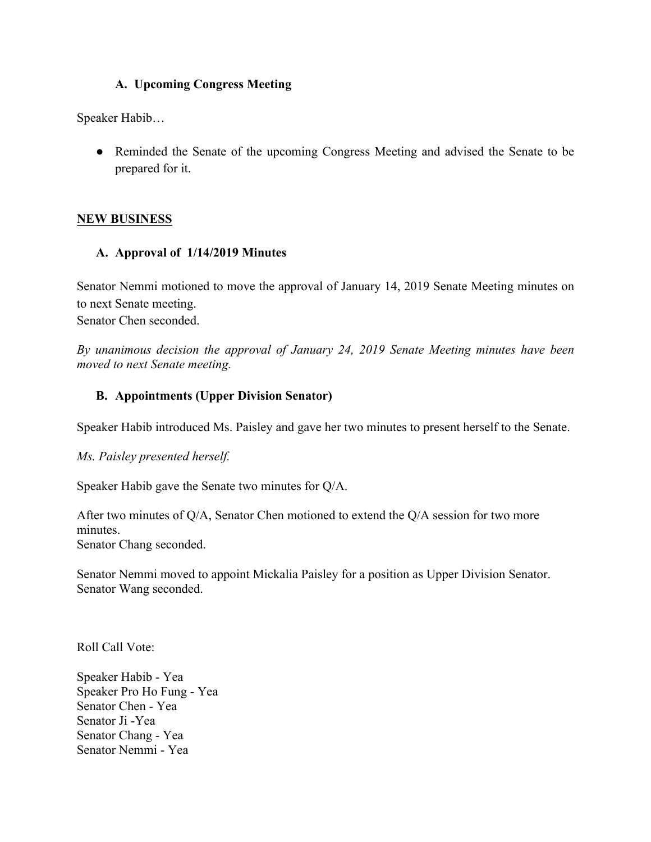#### **A. Upcoming Congress Meeting**

Speaker Habib…

● Reminded the Senate of the upcoming Congress Meeting and advised the Senate to be prepared for it.

#### **NEW BUSINESS**

#### **A. Approval of 1/14/2019 Minutes**

Senator Nemmi motioned to move the approval of January 14, 2019 Senate Meeting minutes on to next Senate meeting. Senator Chen seconded.

*By unanimous decision the approval of January 24, 2019 Senate Meeting minutes have been moved to next Senate meeting.* 

#### **B. Appointments (Upper Division Senator)**

Speaker Habib introduced Ms. Paisley and gave her two minutes to present herself to the Senate.

*Ms. Paisley presented herself.*

Speaker Habib gave the Senate two minutes for Q/A.

After two minutes of Q/A, Senator Chen motioned to extend the Q/A session for two more minutes. Senator Chang seconded.

Senator Nemmi moved to appoint Mickalia Paisley for a position as Upper Division Senator. Senator Wang seconded.

Roll Call Vote:

Speaker Habib - Yea Speaker Pro Ho Fung - Yea Senator Chen - Yea Senator Ji -Yea Senator Chang - Yea Senator Nemmi - Yea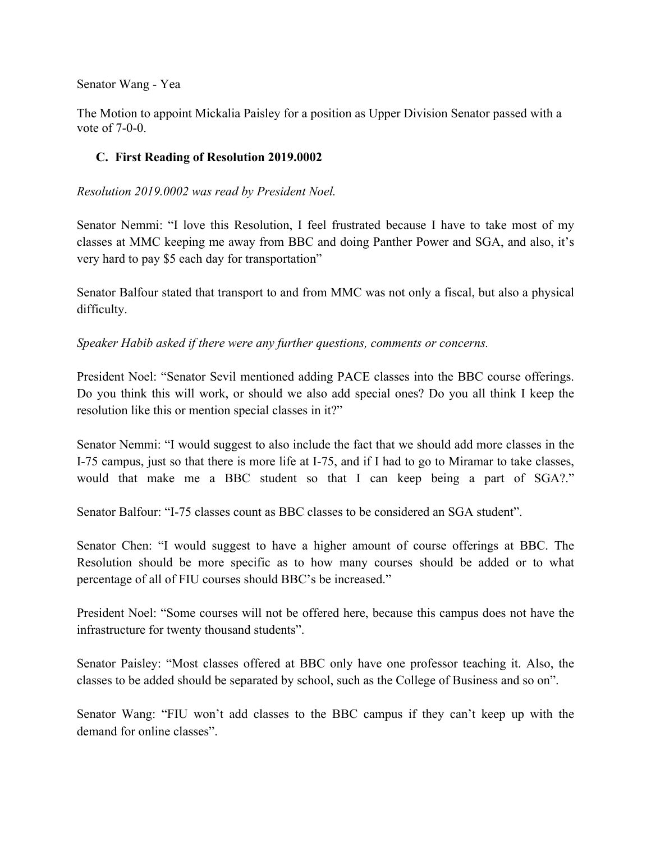#### Senator Wang - Yea

The Motion to appoint Mickalia Paisley for a position as Upper Division Senator passed with a vote of 7-0-0.

#### **C. First Reading of Resolution 2019.0002**

*Resolution 2019.0002 was read by President Noel.*

Senator Nemmi: "I love this Resolution, I feel frustrated because I have to take most of my classes at MMC keeping me away from BBC and doing Panther Power and SGA, and also, it's very hard to pay \$5 each day for transportation"

Senator Balfour stated that transport to and from MMC was not only a fiscal, but also a physical difficulty.

*Speaker Habib asked if there were any further questions, comments or concerns.*

President Noel: "Senator Sevil mentioned adding PACE classes into the BBC course offerings. Do you think this will work, or should we also add special ones? Do you all think I keep the resolution like this or mention special classes in it?"

Senator Nemmi: "I would suggest to also include the fact that we should add more classes in the I-75 campus, just so that there is more life at I-75, and if I had to go to Miramar to take classes, would that make me a BBC student so that I can keep being a part of SGA?."

Senator Balfour: "I-75 classes count as BBC classes to be considered an SGA student".

Senator Chen: "I would suggest to have a higher amount of course offerings at BBC. The Resolution should be more specific as to how many courses should be added or to what percentage of all of FIU courses should BBC's be increased."

President Noel: "Some courses will not be offered here, because this campus does not have the infrastructure for twenty thousand students".

Senator Paisley: "Most classes offered at BBC only have one professor teaching it. Also, the classes to be added should be separated by school, such as the College of Business and so on".

Senator Wang: "FIU won't add classes to the BBC campus if they can't keep up with the demand for online classes".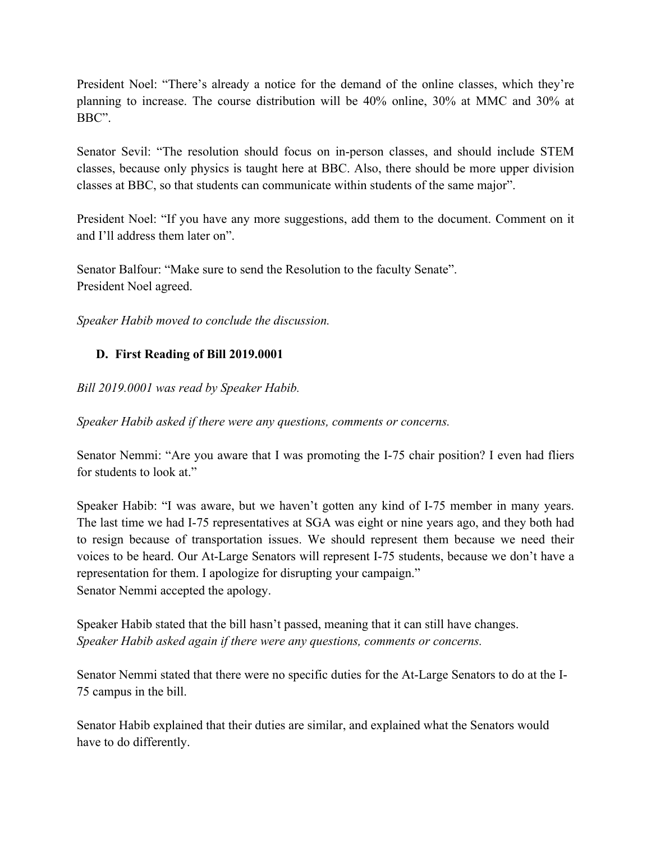President Noel: "There's already a notice for the demand of the online classes, which they're planning to increase. The course distribution will be 40% online, 30% at MMC and 30% at BBC".

Senator Sevil: "The resolution should focus on in-person classes, and should include STEM classes, because only physics is taught here at BBC. Also, there should be more upper division classes at BBC, so that students can communicate within students of the same major".

President Noel: "If you have any more suggestions, add them to the document. Comment on it and I'll address them later on".

Senator Balfour: "Make sure to send the Resolution to the faculty Senate". President Noel agreed.

*Speaker Habib moved to conclude the discussion.*

## **D. First Reading of Bill 2019.0001**

*Bill 2019.0001 was read by Speaker Habib.*

*Speaker Habib asked if there were any questions, comments or concerns.*

Senator Nemmi: "Are you aware that I was promoting the I-75 chair position? I even had fliers for students to look at."

Speaker Habib: "I was aware, but we haven't gotten any kind of I-75 member in many years. The last time we had I-75 representatives at SGA was eight or nine years ago, and they both had to resign because of transportation issues. We should represent them because we need their voices to be heard. Our At-Large Senators will represent I-75 students, because we don't have a representation for them. I apologize for disrupting your campaign." Senator Nemmi accepted the apology.

Speaker Habib stated that the bill hasn't passed, meaning that it can still have changes. *Speaker Habib asked again if there were any questions, comments or concerns.*

Senator Nemmi stated that there were no specific duties for the At-Large Senators to do at the I-75 campus in the bill.

Senator Habib explained that their duties are similar, and explained what the Senators would have to do differently.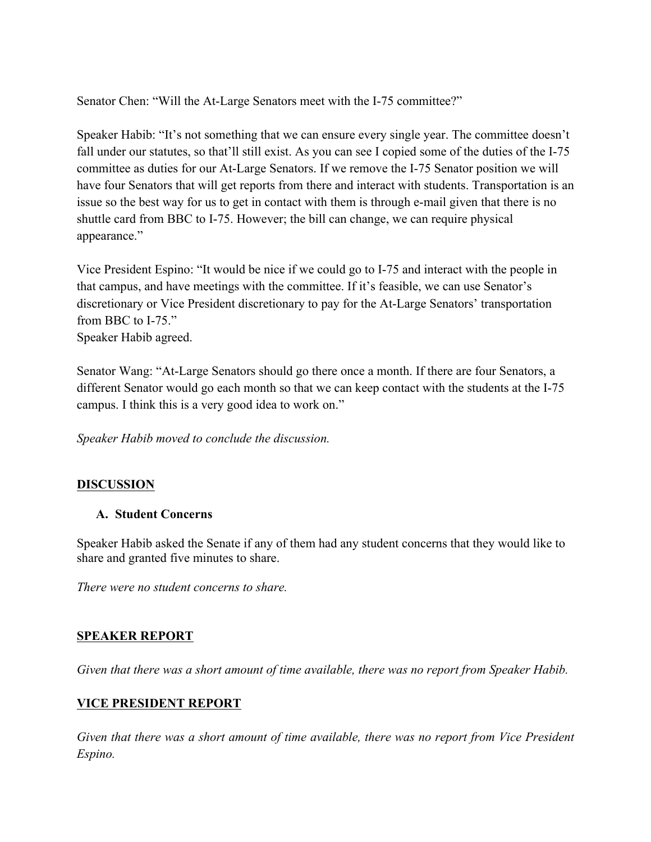Senator Chen: "Will the At-Large Senators meet with the I-75 committee?"

Speaker Habib: "It's not something that we can ensure every single year. The committee doesn't fall under our statutes, so that'll still exist. As you can see I copied some of the duties of the I-75 committee as duties for our At-Large Senators. If we remove the I-75 Senator position we will have four Senators that will get reports from there and interact with students. Transportation is an issue so the best way for us to get in contact with them is through e-mail given that there is no shuttle card from BBC to I-75. However; the bill can change, we can require physical appearance."

Vice President Espino: "It would be nice if we could go to I-75 and interact with the people in that campus, and have meetings with the committee. If it's feasible, we can use Senator's discretionary or Vice President discretionary to pay for the At-Large Senators' transportation from BBC to I-75." Speaker Habib agreed.

Senator Wang: "At-Large Senators should go there once a month. If there are four Senators, a different Senator would go each month so that we can keep contact with the students at the I-75 campus. I think this is a very good idea to work on."

*Speaker Habib moved to conclude the discussion.*

## **DISCUSSION**

#### **A. Student Concerns**

Speaker Habib asked the Senate if any of them had any student concerns that they would like to share and granted five minutes to share.

*There were no student concerns to share.* 

#### **SPEAKER REPORT**

*Given that there was a short amount of time available, there was no report from Speaker Habib.*

#### **VICE PRESIDENT REPORT**

*Given that there was a short amount of time available, there was no report from Vice President Espino.*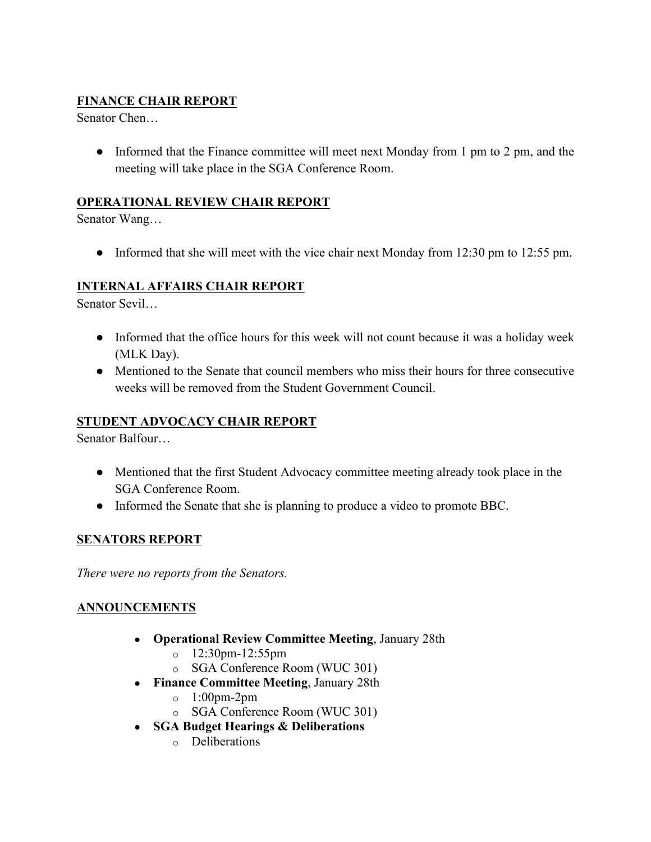# **FINANCE CHAIR REPORT**

Senator Chen…

• Informed that the Finance committee will meet next Monday from 1 pm to 2 pm, and the meeting will take place in the SGA Conference Room.

#### **OPERATIONAL REVIEW CHAIR REPORT**

Senator Wang…

• Informed that she will meet with the vice chair next Monday from 12:30 pm to 12:55 pm.

#### **INTERNAL AFFAIRS CHAIR REPORT**

Senator Sevil…

- Informed that the office hours for this week will not count because it was a holiday week (MLK Day).
- Mentioned to the Senate that council members who miss their hours for three consecutive weeks will be removed from the Student Government Council.

#### **STUDENT ADVOCACY CHAIR REPORT**

Senator Balfour…

- Mentioned that the first Student Advocacy committee meeting already took place in the SGA Conference Room.
- Informed the Senate that she is planning to produce a video to promote BBC.

#### **SENATORS REPORT**

*There were no reports from the Senators.*

## **ANNOUNCEMENTS**

- **Operational Review Committee Meeting**, January 28th
	- o 12:30pm-12:55pm
	- o SGA Conference Room (WUC 301)
- **Finance Committee Meeting**, January 28th
	- $\circ$  1:00pm-2pm
	- o SGA Conference Room (WUC 301)
- **SGA Budget Hearings & Deliberations**
	- o Deliberations